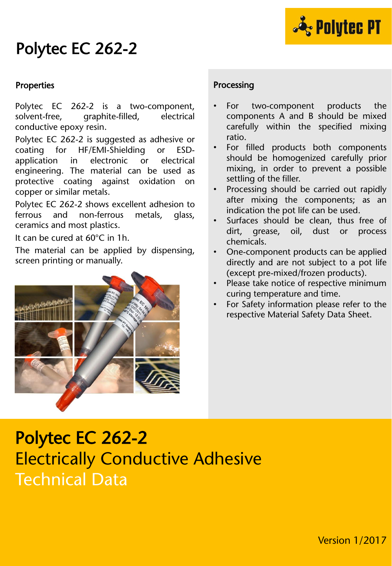

# Polytec EC 262-2

#### Properties

Polytec EC 262-2 is a two-component, solvent-free, graphite-filled, electrical conductive epoxy resin.

Polytec EC 262-2 is suggested as adhesive or coating for HF/EMI-Shielding or ESDapplication in electronic or electrical engineering. The material can be used as protective coating against oxidation on copper or similar metals.

Polytec EC 262-2 shows excellent adhesion to ferrous and non-ferrous metals, glass, ceramics and most plastics.

It can be cured at 60°C in 1h.

The material can be applied by dispensing, screen printing or manually.



#### Processing

- For two-component products the components A and B should be mixed carefully within the specified mixing ratio.
- For filled products both components should be homogenized carefully prior mixing, in order to prevent a possible settling of the filler.
- Processing should be carried out rapidly after mixing the components; as an indication the pot life can be used.
- Surfaces should be clean, thus free of dirt, grease, oil, dust or process chemicals.
- One-component products can be applied directly and are not subject to a pot life (except pre-mixed/frozen products).
- Please take notice of respective minimum curing temperature and time.
- For Safety information please refer to the respective Material Safety Data Sheet.

# Polytec EC 262-2 Electrically Conductive Adhesive Technical Data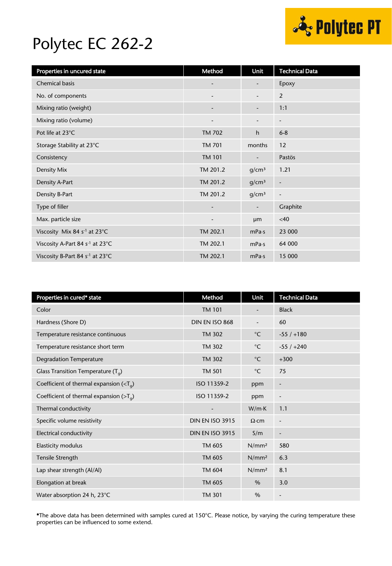

### Polytec EC 262-2

| Properties in uncured state                 | Method                       | Unit                     | <b>Technical Data</b>        |
|---------------------------------------------|------------------------------|--------------------------|------------------------------|
| <b>Chemical basis</b>                       |                              |                          | Epoxy                        |
| No. of components                           | $\overline{\phantom{a}}$     | $\overline{\phantom{a}}$ | 2                            |
| Mixing ratio (weight)                       | $\qquad \qquad \blacksquare$ | $\overline{\phantom{a}}$ | 1:1                          |
| Mixing ratio (volume)                       |                              |                          | $\overline{\phantom{a}}$     |
| Pot life at 23°C                            | <b>TM 702</b>                | $\mathsf{h}$             | $6 - 8$                      |
| Storage Stability at 23°C                   | <b>TM 701</b>                | months                   | 12                           |
| Consistency                                 | <b>TM 101</b>                | $\overline{\phantom{m}}$ | Pastös                       |
| Density Mix                                 | TM 201.2                     | g/cm <sup>3</sup>        | 1.21                         |
| Density A-Part                              | TM 201.2                     | g/cm <sup>3</sup>        | $\qquad \qquad \blacksquare$ |
| Density B-Part                              | TM 201.2                     | g/cm <sup>3</sup>        | $\overline{\phantom{a}}$     |
| Type of filler                              | $\overline{\phantom{m}}$     | $\overline{\phantom{a}}$ | Graphite                     |
| Max. particle size                          | $\overline{\phantom{a}}$     | µm                       | <40                          |
| Viscosity Mix 84 s <sup>-1</sup> at 23°C    | TM 202.1                     | mPa·s                    | 23 000                       |
| Viscosity A-Part 84 s <sup>-1</sup> at 23°C | TM 202.1                     | mPa·s                    | 64 000                       |
| Viscosity B-Part 84 s <sup>-1</sup> at 23°C | TM 202.1                     | mPa·s                    | 15 000                       |

| Properties in cured* state                 | Method                   | Unit              | <b>Technical Data</b>        |
|--------------------------------------------|--------------------------|-------------------|------------------------------|
| Color                                      | <b>TM 101</b>            |                   | <b>Black</b>                 |
| Hardness (Shore D)                         | DIN EN ISO 868           |                   | 60                           |
| Temperature resistance continuous          | <b>TM 302</b>            | $^{\circ}$ C      | $-55/ +180$                  |
| Temperature resistance short term          | <b>TM 302</b>            | $^{\circ}$ C      | $-55/+240$                   |
| <b>Degradation Temperature</b>             | <b>TM 302</b>            | $^{\circ}$ C      | $+300$                       |
| Glass Transition Temperature $(T_q)$       | <b>TM 501</b>            | $^{\circ}$ C      | 75                           |
| Coefficient of thermal expansion $(T_q)$   | ISO 11359-2              | ppm               | $\overline{\phantom{a}}$     |
| Coefficient of thermal expansion ( $>Ta$ ) | ISO 11359-2              | ppm               | $\overline{a}$               |
| Thermal conductivity                       | $\overline{\phantom{a}}$ | W/mK              | 1.1                          |
| Specific volume resistivity                | <b>DIN EN ISO 3915</b>   | $\Omega$ ·cm      | $\overline{\phantom{a}}$     |
| Electrical conductivity                    | <b>DIN EN ISO 3915</b>   | S/m               | $\qquad \qquad \blacksquare$ |
| Elasticity modulus                         | TM 605                   | N/mm <sup>2</sup> | 580                          |
| Tensile Strength                           | TM 605                   | N/mm <sup>2</sup> | 6.3                          |
| Lap shear strength (Al/Al)                 | <b>TM 604</b>            | N/mm <sup>2</sup> | 8.1                          |
| Elongation at break                        | TM 605                   | $\%$              | 3.0                          |
| Water absorption 24 h, 23°C                | <b>TM 301</b>            | $\%$              | $\overline{\phantom{a}}$     |

\*The above data has been determined with samples cured at 150°C. Please notice, by varying the curing temperature these properties can be influenced to some extend.